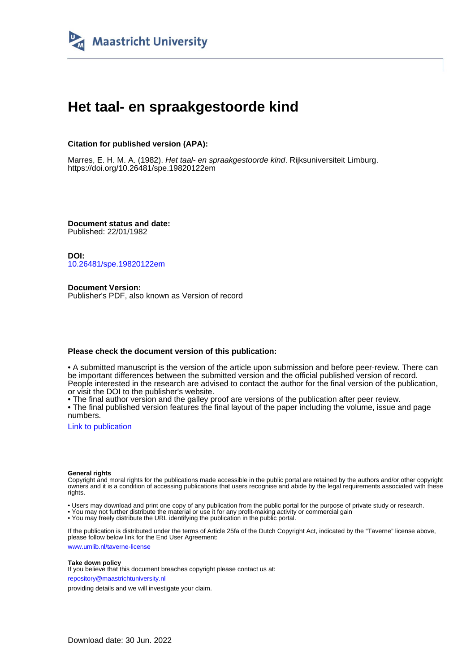

# **Het taal- en spraakgestoorde kind**

#### **Citation for published version (APA):**

Marres, E. H. M. A. (1982). Het taal- en spraakgestoorde kind. Rijksuniversiteit Limburg. <https://doi.org/10.26481/spe.19820122em>

**Document status and date:** Published: 22/01/1982

**DOI:** [10.26481/spe.19820122em](https://doi.org/10.26481/spe.19820122em)

**Document Version:** Publisher's PDF, also known as Version of record

#### **Please check the document version of this publication:**

• A submitted manuscript is the version of the article upon submission and before peer-review. There can be important differences between the submitted version and the official published version of record. People interested in the research are advised to contact the author for the final version of the publication, or visit the DOI to the publisher's website.

• The final author version and the galley proof are versions of the publication after peer review.

• The final published version features the final layout of the paper including the volume, issue and page numbers.

[Link to publication](https://cris.maastrichtuniversity.nl/en/publications/b6624150-729f-4582-8f95-240fc53977e6)

#### **General rights**

Copyright and moral rights for the publications made accessible in the public portal are retained by the authors and/or other copyright owners and it is a condition of accessing publications that users recognise and abide by the legal requirements associated with these rights.

• Users may download and print one copy of any publication from the public portal for the purpose of private study or research.

• You may not further distribute the material or use it for any profit-making activity or commercial gain

• You may freely distribute the URL identifying the publication in the public portal.

If the publication is distributed under the terms of Article 25fa of the Dutch Copyright Act, indicated by the "Taverne" license above, please follow below link for the End User Agreement:

www.umlib.nl/taverne-license

#### **Take down policy**

If you believe that this document breaches copyright please contact us at: repository@maastrichtuniversity.nl

providing details and we will investigate your claim.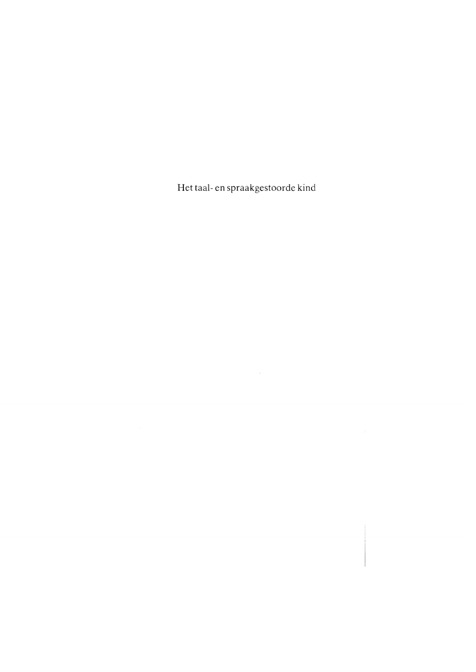## Het taal- en spraakgestoorde kind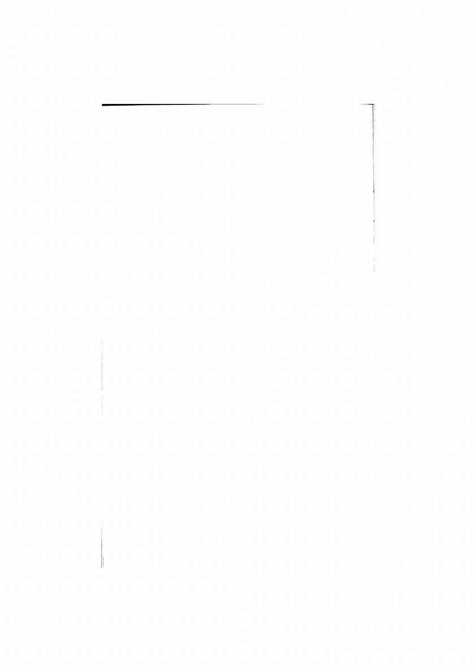$\mathcal{L}(\mathcal{L})$  and  $\mathcal{L}(\mathcal{L})$  .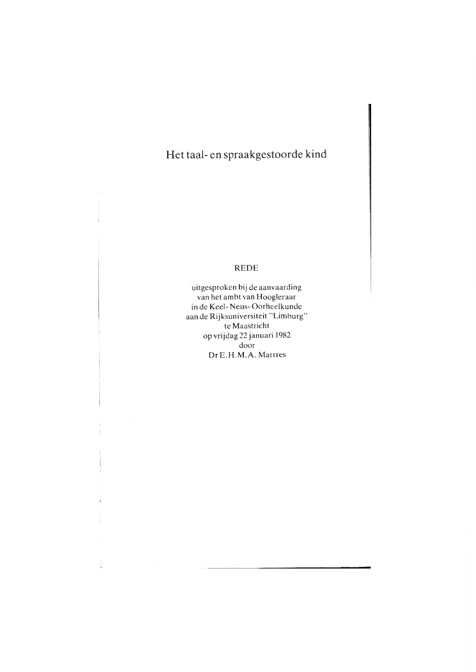## Het taal- en spraakgestoorde kind

#### **REDE**

uitgesproken bij de aanvaarding van het ambt van Hoogleraar in de Keel-Neus-Oorheelkunde aan de Rijksuniversiteit "Limburg" te Maastricht op vrijdag 22 januari 1982 door Dr E H.M.A. Marrres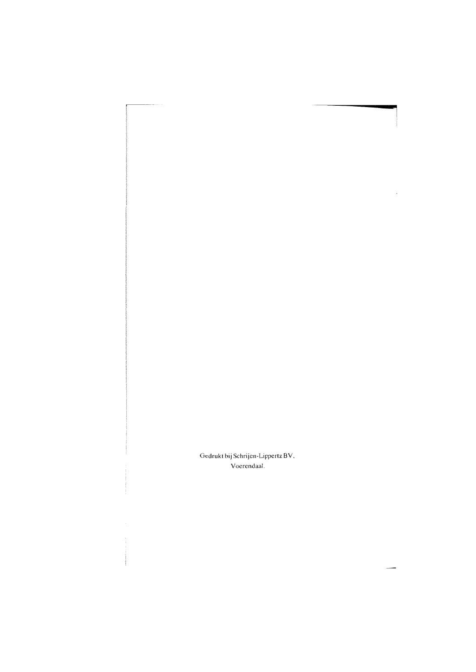Gedrukt bij Schrijen-Lippertz BV, Voerendaal.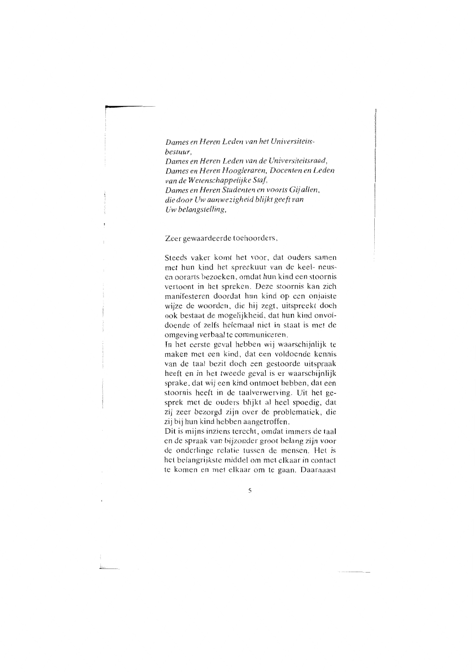Dames en Heren Leden van het Universiteitsbestuur. Dames en Heren Leden van de Universiteitsraad. Dames en Heren Hoogleraren, Docenten en Leden van de Wetenschappelijke Staf, Dames en Heren Studenten en voorts Gij allen, die door Uw aanwezigheid blijkt geeft van Uw belangstelling,

Zeer gewaardeerde toehoorders,

Steeds vaker komt het voor, dat ouders samen met hun kind het spreekuur van de keel- neusen oorarts bezoeken, omdat hun kind een stoornis vertoont in het spreken. Deze stoornis kan zich manifesteren doordat hun kind op een onjuiste wijze de woorden, die hij zegt, uitspreekt doch ook bestaat de mogelijkheid, dat hun kind onvoldoende of zelfs helemaal niet in staat is met de omgeving verbaal te communiceren.

In het eerste geval hebben wij waarschijnlijk te maken met een kind, dat een voldoende kennis van de taal bezit doch een gestoorde uitspraak heeft en in het tweede geval is er waarschijnlijk sprake, dat wij een kind ontmoet hebben, dat een stoornis heeft in de taalverwerving. Uit het gesprek met de ouders blijkt al heel spoedig, dat zij zeer bezorgd zijn over de problematiek, die zij bij hun kind hebben aangetroffen.

Dit is mijns inziens terecht, omdat immers de taal en de spraak van bijzonder groot belang zijn voor de onderlinge relatie tussen de mensen. Het is het belangrijkste middel om met elkaar in contact te komen en met elkaar om te gaan. Daarnaast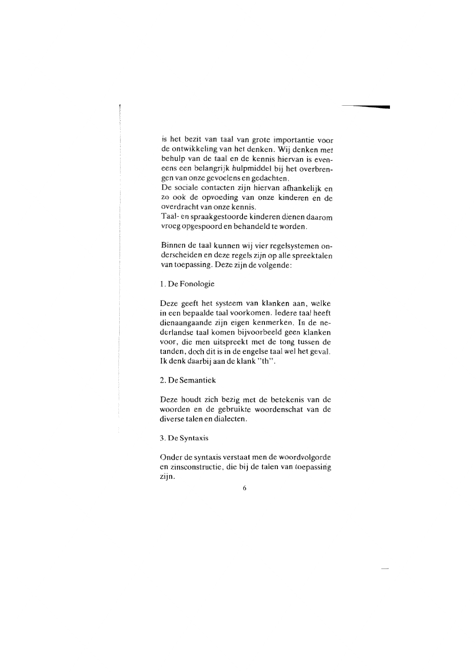is het bezit van taal van grote importantie voor de ontwikkeling van het denken. Wij denken met behulp van de taal en de kennis hiervan is eveneens een belangrijk hulpmiddel bij het overbrengen van onze gevoelens en gedachten.

De sociale contacten zijn hiervan afhankelijk en zo ook de opvoeding van onze kinderen en de overdracht van onze kennis

Taal- en spraakgestoorde kinderen dienen daarom vroeg opgespoord en behandeld te worden.

Binnen de taal kunnen wij vier regelsystemen onderscheiden en deze regels zijn op alle spreektalen van toepassing. Deze zijn de volgende:

### 1. De Fonologie

Deze geeft het systeem van klanken aan, welke in een bepaalde taal voorkomen. Iedere taal heeft dienaangaande zijn eigen kenmerken. In de nederlandse taal komen bijvoorbeeld geen klanken voor, die men uitspreekt met de tong tussen de tanden, doch dit is in de engelse taal wel het geval. Ik denk daarbij aan de klank "th".

## 2. De Semantiek

Deze houdt zich bezig met de betekenis van de woorden en de gebruikte woordenschat van de diverse talen en dialecten.

#### 3. De Syntaxis

Onder de syntaxis verstaat men de woordvolgorde en zinsconstructie, die bij de talen van toepassing zijn.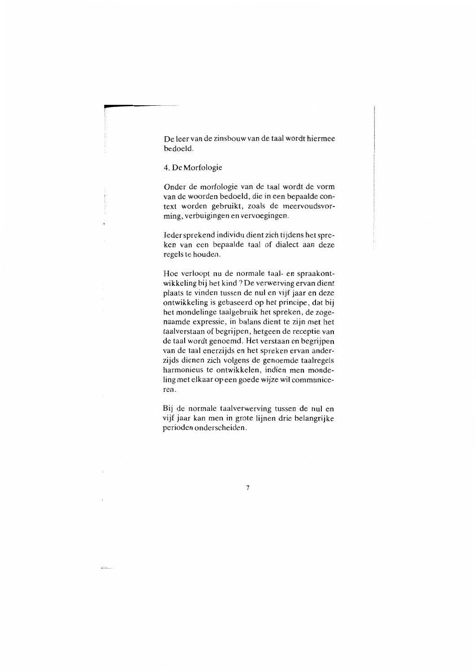De leer van de zinsbouw van de taal wordt hiermee bedoeld.

## 4. De Morfologie

Onder de morfologie van de taal wordt de vorm van de woorden bedoeld, die in een bepaalde context worden gebruikt, zoals de meervoudsvorming, verbuigingen en vervoegingen.

Ieder sprekend individu dient zich tijdens het spreken van een bepaalde taal of dialect aan deze regels te houden.

Hoe verloopt nu de normale taal- en spraakontwikkeling bij het kind? De verwerving ervan dient plaats te vinden tussen de nul en vijf jaar en deze ontwikkeling is gebaseerd op het principe, dat bij het mondelinge taalgebruik het spreken, de zogenaamde expressie, in balans dient te zijn met het taalverstaan of begrijpen, hetgeen de receptie van de taal wordt genoemd. Het verstaan en begrijpen van de taal enerzijds en het spreken ervan anderzijds dienen zich volgens de genoemde taalregels harmonieus te ontwikkelen, indien men mondeling met elkaar op een goede wijze wil communiceren.

Bij de normale taalverwerving tussen de nul en vijf jaar kan men in grote lijnen drie belangrijke perioden onderscheiden.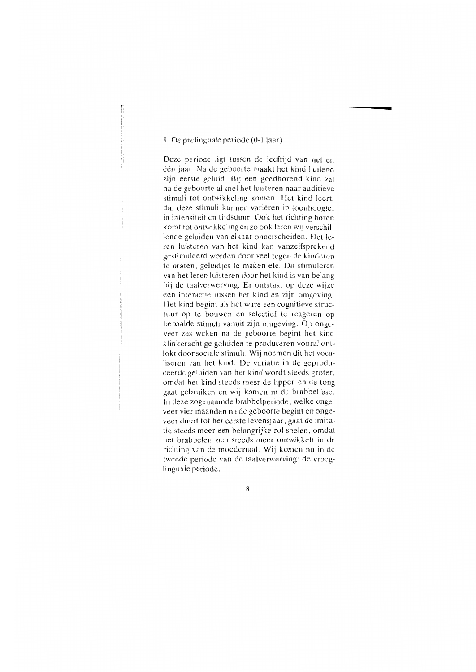#### 1. De prelinguale periode (0-1 jaar)

Deze periode ligt tussen de leeftijd van nul en één jaar. Na de geboorte maakt het kind huilend zijn eerste geluid. Bij een goedhorend kind zal na de geboorte al snel het luisteren naar auditieve stimuli tot ontwikkeling komen. Het kind leert. dat deze stimuli kunnen variëren in toonhoogte. in intensiteit en tijdsduur. Ook het richting horen komt tot ontwikkeling en zo ook leren wij verschillende geluiden van elkaar onderscheiden. Het leren luisteren van het kind kan vanzelfsprekend gestimuleerd worden door veel tegen de kinderen te praten, geluidjes te maken etc. Dit stimuleren van het leren luisteren door het kind is van belang bij de taalverwerving. Er ontstaat op deze wijze een interactie tussen het kind en zijn omgeving. Het kind begint als het ware een cognitieve structuur op te bouwen en selectief te reageren op bepaalde stimuli vanuit zijn omgeving. Op ongeveer zes weken na de geboorte begint het kind klinkerachtige geluiden te produceren vooral ontlokt door sociale stimuli. Wij noemen dit het vocaliseren van het kind. De variatie in de geproduceerde geluiden van het kind wordt steeds groter, omdat het kind steeds meer de lippen en de tong gaat gebruiken en wij komen in de brabbelfase. In deze zogenaamde brabbelperiode, welke ongeveer vier maanden na de geboorte begint en ongeveer duurt tot het eerste levensjaar, gaat de imitatie steeds meer een belangrijke rol spelen, omdat het brabbelen zich steeds meer ontwikkelt in de richting van de moedertaal. Wij komen nu in de tweede periode van de taalverwerving: de vroeglinguale periode.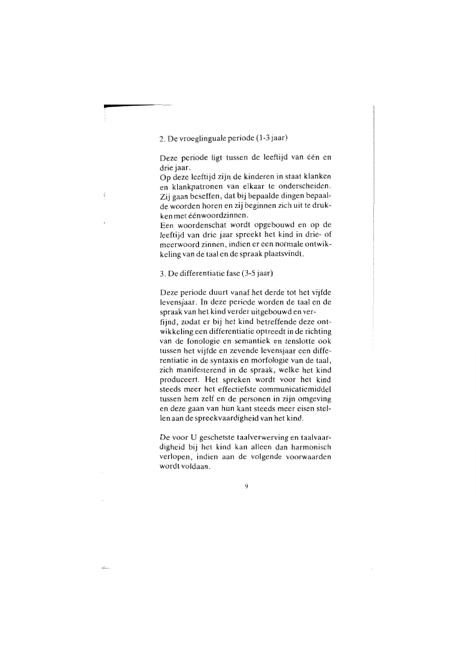2. De vroeglinguale periode (1-3 jaar)

Deze periode ligt tussen de leeftijd van één en drie jaar.

Op deze leeftijd zijn de kinderen in staat klanken en klankpatronen van elkaar te onderscheiden. Zij gaan beseffen, dat bij bepaalde dingen bepaalde woorden horen en zij beginnen zich uit te drukken met éénwoordzinnen.

Fen woordenschat wordt opgebouwd en op de leeftijd van drie jaar spreekt het kind in drie- of meerwoord zinnen, indien er een normale ontwikkeling van de taal en de spraak plaatsvindt.

3. De differentiatie fase (3-5 jaar)

Deze periode duurt vanaf het derde tot het vijfde levensjaar. In deze periode worden de taal en de spraak van het kind verder uitgebouwd en ver-

fiind, zodat er bij het kind betreffende deze ontwikkeling een differentiatie optreedt in de richting van de fonologie en semantiek en tenslotte ook tussen het vijfde en zevende levensjaar een differentiatie in de syntaxis en morfologie van de taal, zich manifesterend in de spraak, welke het kind produceert. Het spreken wordt voor het kind steeds meer het effectiefste communicatiemiddel tussen hem zelf en de personen in zijn omgeving en deze gaan van hun kant steeds meer eisen stellen aan de spreekvaardigheid van het kind.

De voor U geschetste taalverwerving en taalvaardigheid bij het kind kan alleen dan harmonisch verlopen, indien aan de volgende voorwaarden wordt voldaan.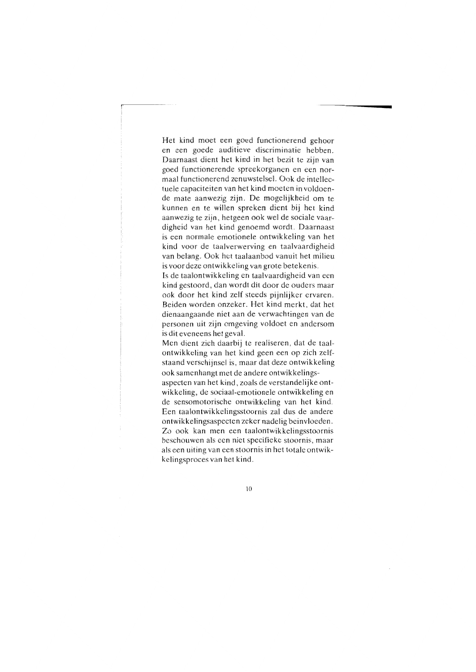Het kind moet een goed functionerend gehoor en een goede auditieve discriminatie hebben. Daarnaast dient het kind in het bezit te zijn van goed functionerende spreekorganen en een normaal functionerend zenuwstelsel. Ook de intellectuele capaciteiten van het kind moeten in voldoende mate aanwezig zijn. De mogelijkheid om te kunnen en te willen spreken dient bij het kind aanwezig te zijn, hetgeen ook wel de sociale vaardigheid van het kind genoemd wordt. Daarnaast is een normale emotionele ontwikkeling van het kind voor de taalverwerving en taalvaardigheid van belang. Ook het taalaanbod vanuit het milieu is voor deze ontwikkeling van grote betekenis.

Is de taalontwikkeling en taalvaardigheid van een kind gestoord, dan wordt dit door de ouders maar ook door het kind zelf steeds pijnlijker ervaren. Beiden worden onzeker. Het kind merkt, dat het dienaangaande niet aan de verwachtingen van de personen uit zijn omgeving voldoet en andersom is dit eveneens het geval.

Men dient zich daarbij te realiseren, dat de taalontwikkeling van het kind geen een op zich zelfstaand verschijnsel is, maar dat deze ontwikkeling ook samenhangt met de andere ontwikkelings-

aspecten van het kind, zoals de verstandelijke ontwikkeling, de sociaal-emotionele ontwikkeling en de sensomotorische ontwikkeling van het kind. Een taalontwikkelingsstoornis zal dus de andere ontwikkelingsaspecten zeker nadelig beinvloeden. Zo ook kan men een taalontwikkelingsstoornis beschouwen als een niet specifieke stoornis, maar als een uiting van een stoornis in het totale ontwikkelingsproces van het kind.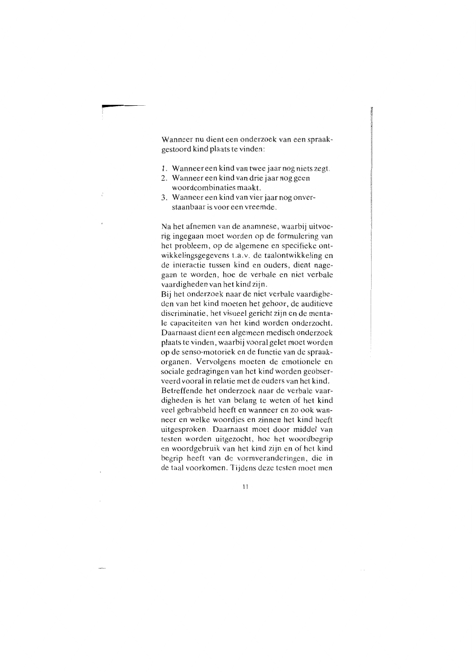Wanneer nu dient een onderzoek van een spraakgestoord kind plaats te vinden:

- 1. Wanneer een kind van twee jaar nog niets zegt.
- 2. Wanneer een kind van drie jaar nog geen woordcombinaties maakt.
- 3. Wanneer een kind van vier jaar nog onverstaanbaar is voor een vreemde.

Na het afnemen van de anamnese, waarbij uitvoerig ingegaan moet worden op de formulering van het probleem, op de algemene en specifieke ontwikkelingsgegevens t.a.v. de taalontwikkeling en de interactie tussen kind en ouders, dient nagegaan te worden, hoe de verbale en niet verbale vaardigheden van het kind zijn.

Bij het onderzoek naar de niet verbale vaardigheden van het kind moeten het gehoor, de auditieve discriminatie, het visueel gericht zijn en de mentale capaciteiten van het kind worden onderzocht. Daarnaast dient een algemeen medisch onderzoek plaats te vinden, waarbij vooral gelet moet worden op de senso-motoriek en de functie van de spraakorganen. Vervolgens moeten de emotionele en sociale gedragingen van het kind worden geobserveerd vooral in relatie met de ouders van het kind. Betreffende het onderzoek naar de verbale vaar-

digheden is het van belang te weten of het kind veel gebrabbeld heeft en wanneer en zo ook wanneer en welke woordies en zinnen het kind heeft uitgesproken. Daarnaast moet door middel van testen worden uitgezocht, hoe het woordbegrip en woordgebruik van het kind zijn en of het kind begrip heeft van de vormveranderingen, die in de taal voorkomen. Tijdens deze testen moet men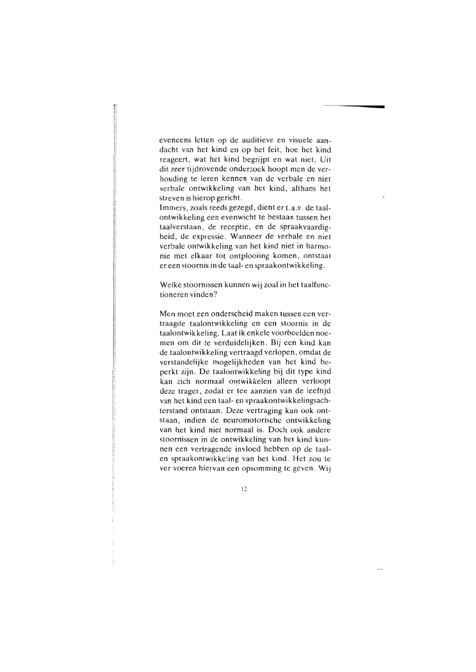eveneens letten op de auditieve en visuele aandacht van het kind en op het feit, hoe het kind reageert, wat het kind begrijpt en wat niet. Uit dit zeer tijdrovende onderzoek hoopt men de verhouding te leren kennen van de verbale en niet verbale ontwikkeling van het kind, althans het streven is hierop gericht.

Immers. zoals reeds gezegd, dient er t.a.v. de taalontwikkeling een evenwicht te bestaan tussen het taalverstaan, de receptie, en de spraakvaardigheid, de expressie. Wanneer de verbale en niet verbale ontwikkeling van het kind niet in harmonie met elkaar tot ontplooiing komen, ontstaat er een stoornis in de taal- en spraakontwikkeling.

Welke stoornissen kunnen wij zoal in het taalfunctioneren vinden?

Men moet een onderscheid maken tussen een vertraagde taalontwikkeling en een stoornis in de taalontwikkeling. Laat ik enkele voorbeelden noemen om dit te verduidelijken. Bij een kind kan de taalontwikkeling vertraagd verlopen, omdat de verstandelijke mogelijkheden van het kind beperkt zijn. De taalontwikkeling bij dit type kind kan zich normaal ontwikkelen alleen verloopt deze trager, zodat er ten aanzien van de leeftijd van het kind een taal- en spraakontwikkelingsachterstand ontstaan. Deze vertraging kan ook ontstaan, indien de neuromotorische ontwikkeling van het kind niet normaal is. Doch ook andere stoornissen in de ontwikkeling van het kind kunnen een vertragende invloed hebben op de taalen spraakontwikkeling van het kind. Het zou te ver voeren hiervan een opsomming te geven. Wij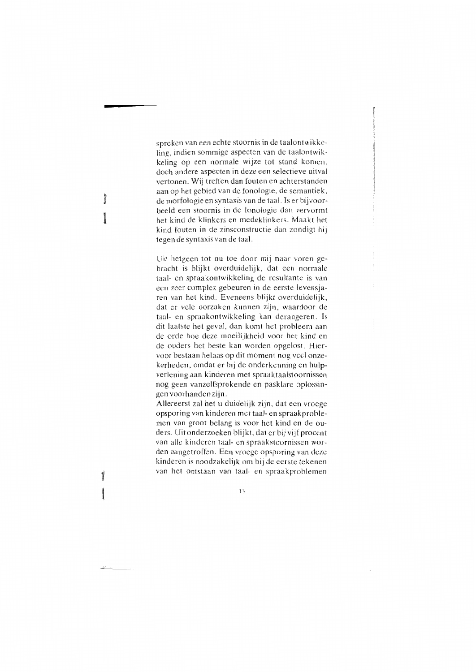spreken van een echte stoornis in de taalontwikkeling, indien sommige aspecten van de taalontwikkeling op een normale wijze tot stand komen, doch andere aspecten in deze een selectieve uitval vertonen. Wij treffen dan fouten en achterstanden aan op het gebied van de fonologie, de semantiek, de morfologie en syntaxis van de taal. Is er bijvoorbeeld een stoornis in de fonologie dan vervormt het kind de klinkers en medeklinkers. Maakt het kind fouten in de zinsconstructie dan zondigt hij tegen de syntaxis van de taal.

Uit hetgeen tot nu toe door mij naar voren gebracht is blijkt overduidelijk, dat een normale taal- en spraakontwikkeling de resultante is van een zeer complex gebeuren in de eerste levensjaren van het kind. Eveneens blijkt overduidelijk, dat er vele oorzaken kunnen zijn, waardoor de taal- en spraakontwikkeling kan derangeren. Is dit laatste het geval, dan komt het probleem aan de orde hoe deze moeilijkheid voor het kind en de ouders het beste kan worden opgelost. Hiervoor bestaan helaas op dit moment nog veel onzekerheden, omdat er bij de onderkenning en hulpverlening aan kinderen met spraaktaalstoornissen nog geen vanzelfsprekende en pasklare oplossingen voorhanden zijn.

Allereerst zal het u duidelijk zijn, dat een vroege opsporing van kinderen met taal- en spraakproblemen van groot belang is voor het kind en de ouders. Uit onderzoeken blijkt, dat er bij vijf procent van alle kinderen taal- en spraakstoornissen worden aangetroffen. Een vroege opsporing van deze kinderen is noodzakelijk om bij de eerste tekenen van het ontstaan van taal- en spraakproblemen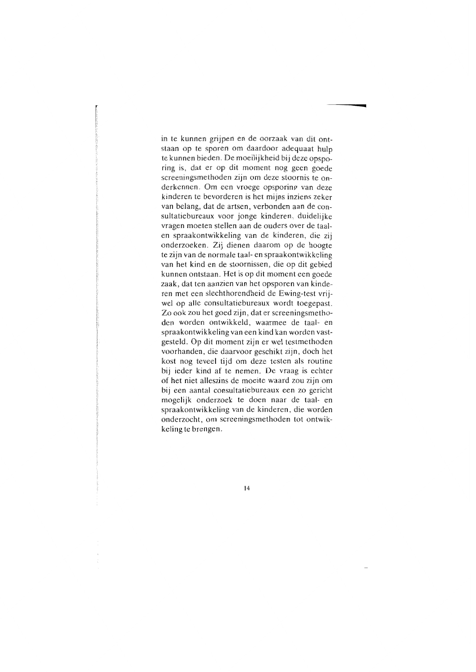in te kunnen grijpen en de oorzaak van dit ontstaan op te sporen om daardoor adequaat hulp te kunnen bieden. De moeilijkheid bij deze opsporing is, dat er op dit moment nog geen goede screeningsmethoden zijn om deze stoornis te onderkennen. Om een vroege opsporing van deze kinderen te bevorderen is het mijns inziens zeker van belang, dat de artsen, verbonden aan de consultatiebureaux voor jonge kinderen, duidelijke vragen moeten stellen aan de ouders over de taalen spraakontwikkeling van de kinderen, die zij onderzoeken. Zij dienen daarom op de hoogte te zijn van de normale taal- en spraakontwikkeling van het kind en de stoornissen, die op dit gebied kunnen ontstaan. Het is op dit moment een goede zaak, dat ten aanzien van het opsporen van kinderen met een slechthorendheid de Ewing-test vrijwel op alle consultatiebureaux wordt toegepast. Zo ook zou het goed zijn, dat er screeningsmethoden worden ontwikkeld, waarmee de taal- en spraakontwikkeling van een kind kan worden vastgesteld. Op dit moment zijn er wel testmethoden voorhanden, die daarvoor geschikt zijn, doch het kost nog teveel tijd om deze testen als routine bij ieder kind af te nemen. De vraag is echter of het niet alleszins de moeite waard zou zijn om bij een aantal consultatiebureaux een zo gericht mogelijk onderzoek te doen naar de taal- en spraakontwikkeling van de kinderen, die worden onderzocht, om screeningsmethoden tot ontwikkeling te brengen.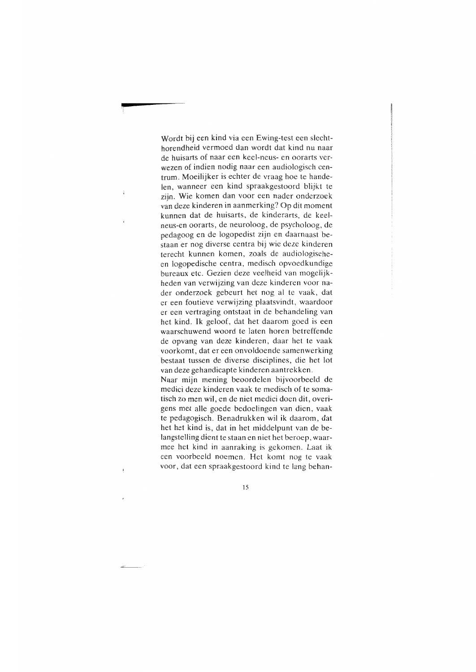Wordt bij een kind via een Ewing-test een slechthorendheid vermoed dan wordt dat kind nu naar de huisarts of naar een keel-neus- en oorarts verwezen of indien nodig naar een audiologisch centrum. Moeilijker is echter de vraag hoe te handelen, wanneer een kind spraakgestoord blijkt te zijn. Wie komen dan voor een nader onderzoek van deze kinderen in aanmerking? Op dit moment kunnen dat de huisarts, de kinderarts, de keelneus-en oorarts, de neuroloog, de psycholoog, de pedagoog en de logopedist zijn en daarnaast bestaan er nog diverse centra bij wie deze kinderen terecht kunnen komen, zoals de audiologischeen logopedische centra, medisch opvoedkundige bureaux etc. Gezien deze veelheid van mogelijkheden van verwijzing van deze kinderen voor nader onderzoek gebeurt het nog al te vaak, dat er een foutieve verwijzing plaatsvindt, waardoor er een vertraging ontstaat in de behandeling van het kind. Ik geloof, dat het daarom goed is een waarschuwend woord te laten horen betreffende de opvang van deze kinderen, daar het te vaak voorkomt, dat er een onvoldoende samenwerking bestaat tussen de diverse disciplines, die het lot van deze gehandicapte kinderen aantrekken.

Naar mijn mening beoordelen bijvoorbeeld de medici deze kinderen vaak te medisch of te somatisch zo men wil, en de niet medici doen dit, overigens met alle goede bedoelingen van dien, vaak te pedagogisch. Benadrukken wil ik daarom, dat het het kind is, dat in het middelpunt van de belangstelling dient te staan en niet het beroep, waarmee het kind in aanraking is gekomen. Laat ik een voorbeeld noemen. Het komt nog te vaak voor, dat een spraakgestoord kind te lang behan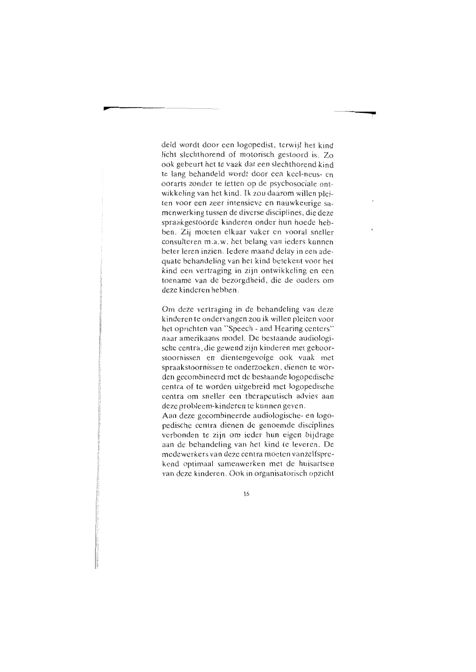deld wordt door een logopedist, terwijl het kind licht slechthorend of motorisch gestoord is.  $Z_0$ ook gebeurt het te vaak dat een slechthorend kind te lang behandeld wordt door een keel-neus- en oorarts zonder te letten op de psychosociale ontwikkeling van het kind. Ik zou daarom willen pleiten voor een zeer intensieve en nauwkeurige samenwerking tussen de diverse disciplines, die deze spraakgestoorde kinderen onder hun hoede hebben. Zij moeten elkaar vaker en vooral sneller consulteren m.a.w. het belang van ieders kunnen beter leren inzien. Iedere maand delay in een adequate behandeling van het kind betekent voor het kind een vertraging in zijn ontwikkeling en een toename van de bezorgdheid, die de ouders om deze kinderen hebben

Om deze vertraging in de behandeling van deze kinderen te ondervangen zou ik willen pleiten voor het oprichten van "Speech - and Hearing centers" naar amerikaans model. De bestaande audiologische centra, die gewend zijn kinderen met gehoorstoornissen en dientengevolge ook vaak met spraakstoornissen te onderzoeken, dienen te worden gecombineerd met de bestaande logopedische centra of te worden uitgebreid met logopedische centra om sneller een therapeutisch advies aan deze probleem-kinderen te kunnen geven.

Aan deze gecombineerde audiologische- en logopedische centra dienen de genoemde disciplines verbonden te zijn om ieder hun eigen bijdrage aan de behandeling van het kind te leveren. De medewerkers van deze centra moeten vanzelfsprekend optimaal samenwerken met de huisartsen van deze kinderen. Ook in organisatorisch opzicht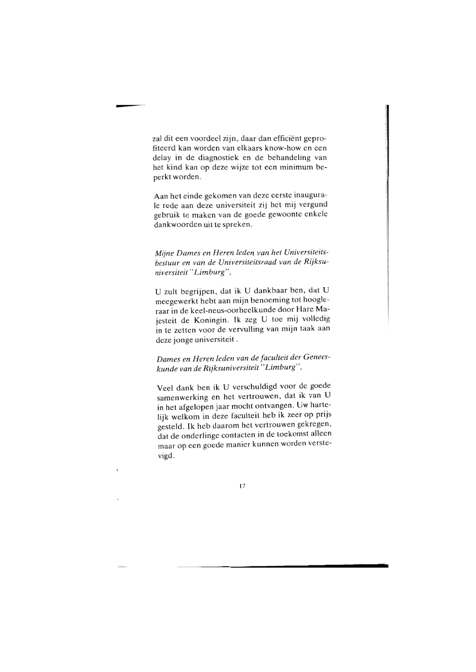zal dit een voordeel zijn, daar dan efficiënt geprofiteerd kan worden van elkaars know-how en een delay in de diagnostiek en de behandeling van het kind kan op deze wijze tot een minimum beperkt worden.

Aan het einde gekomen van deze eerste inaugurale rede aan deze universiteit zij het mij vergund gebruik te maken van de goede gewoonte enkele dankwoorden uit te spreken.

Mijne Dames en Heren leden van het Universiteitsbestuur en van de Universiteitsraad van de Rijksuniversiteit" Limburg".

U zult begrijpen, dat ik U dankbaar ben, dat U meegewerkt hebt aan mijn benoeming tot hoogleraar in de keel-neus-oorheelkunde door Hare Maiesteit de Koningin. Ik zeg U toe mij volledig in te zetten voor de vervulling van mijn taak aan deze jonge universiteit.

Dames en Heren leden van de faculteit der Geneeskunde van de Rijksuniversiteit "Limburg",

Veel dank ben ik U verschuldigd voor de goede samenwerking en het vertrouwen, dat ik van U in het afgelopen jaar mocht ontvangen. Uw hartelijk welkom in deze faculteit heb ik zeer op prijs gesteld. Ik heb daarom het vertrouwen gekregen, dat de onderlinge contacten in de toekomst alleen maar op een goede manier kunnen worden verstevigd.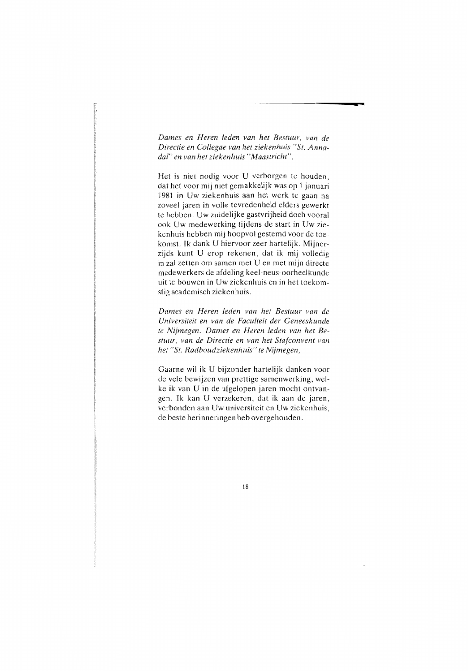Dames en Heren leden van het Bestuur, van de Directie en Collegae van het ziekenhuis "St. Annadal" en van het ziekenhuis "Maastricht".

Het is niet nodig voor U verborgen te houden. dat het voor mij niet gemakkelijk was op 1 januari 1981 in Uw ziekenhuis aan het werk te gaan na zoveel jaren in volle tevredenheid elders gewerkt te hebben. Uw zuidelijke gastvrijheid doch vooral ook Uw medewerking tijdens de start in Uw ziekenhuis hebben mij hoopvol gestemd voor de toekomst. Ik dank U hiervoor zeer hartelijk. Mijnerzijds kunt U erop rekenen, dat ik mij volledig in zal zetten om samen met U en met mijn directe medewerkers de afdeling keel-neus-oorheelkunde uit te bouwen in Uw ziekenhuis en in het toekomstig academisch ziekenhuis.

Dames en Heren leden van het Bestuur van de Universiteit en van de Faculteit der Geneeskunde te Nijmegen. Dames en Heren leden van het Bestuur, van de Directie en van het Stafconvent van het "St. Radboudziekenhuis" te Nijmegen,

Gaarne wil ik U bijzonder hartelijk danken voor de vele bewijzen van prettige samenwerking, welke ik van U in de afgelopen jaren mocht ontvangen. Ik kan U verzekeren, dat ik aan de jaren. verbonden aan Uw universiteit en Uw ziekenhuis, de beste herinneringen heb overgehouden.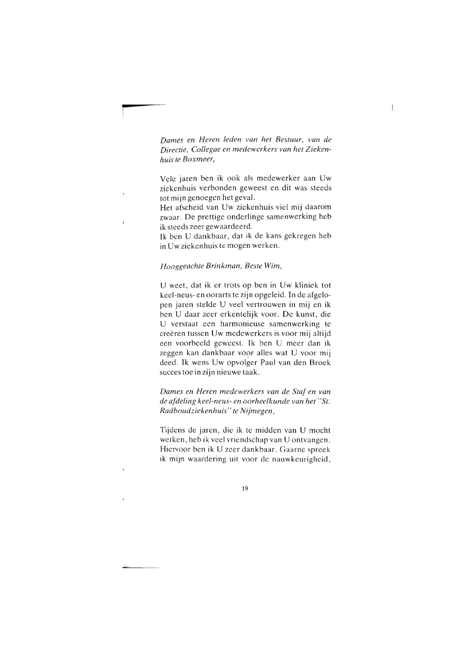Dames en Heren leden van het Bestuur, van de Directie, Collegae en medewerkers van het Ziekenhuis te Boxmeer.

Vele jaren ben ik ook als medewerker aan Uw ziekenhuis verbonden geweest en dit was steeds tot miin genoegen het geval.

Het afscheid van Uw ziekenhuis viel mij daarom zwaar. De prettige onderlinge samenwerking heb ik steeds zeer gewaardeerd.

Ik ben U dankbaar, dat ik de kans gekregen heb in Uw ziekenhuis te mogen werken.

### Hooggeachte Brinkman, Beste Wim.

U weet, dat ik er trots op ben in Uw kliniek tot keel-neus- en oorarts te zijn opgeleid. In de afgelopen jaren stelde U veel vertrouwen in mij en ik ben U daar zeer erkentelijk voor. De kunst, die U verstaat een harmonieuse samenwerking te creëren tussen Uw medewerkers is voor mij altijd een voorbeeld geweest. Ik ben U meer dan ik zeggen kan dankbaar voor alles wat U voor mij deed. Ik wens Uw opvolger Paul van den Broek succes toe in zijn nieuwe taak.

Dames en Heren medewerkers van de Staf en van de afdeling keel-neus- en oorheelkunde van het "St. Radboudziekenhuis" te Nijmegen.

Tijdens de jaren, die ik te midden van U mocht werken, heb ik veel vriendschap van U ontvangen. Hiervoor ben ik U zeer dankbaar. Gaarne spreek ik mijn waardering uit voor de nauwkeurigheid,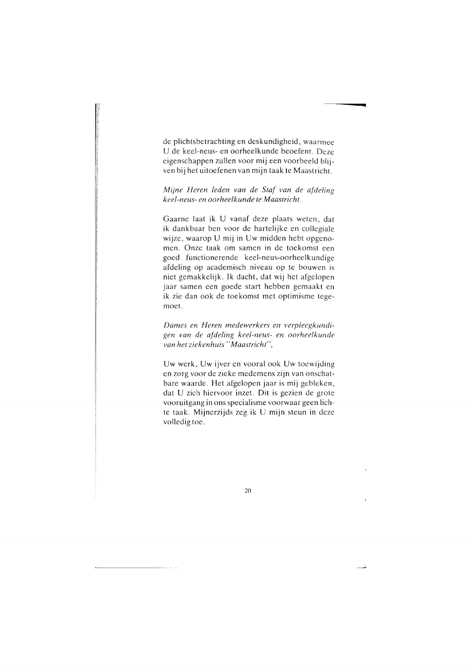de plichtsbetrachting en deskundigheid, waarmee U de keel-neus- en oorheelkunde beoefent. Deze eigenschappen zullen voor mij een voorbeeld blijven bij het uitoefenen van mijn taak te Maastricht.

Miine Heren leden van de Staf van de afdeling keel-neus- en oorheelkunde te Maastricht.

Gaarne laat ik U vanaf deze plaats weten, dat ik dankbaar ben voor de hartelijke en collegiale wijze, waarop U mij in Uw midden hebt opgenomen. Onze taak om samen in de toekomst een goed functionerende keel-neus-oorheelkundige afdeling op academisch niveau op te bouwen is niet gemakkelijk. Ik dacht, dat wij het afgelopen jaar samen een goede start hebben gemaakt en ik zie dan ook de toekomst met optimisme tegemoet.

Dames en Heren medewerkers en verpleegkundigen van de afdeling keel-neus- en oorheelkunde van het ziekenhuis "Maastricht".

Uw werk, Uw ijver en vooral ook Uw toewijding en zorg voor de zieke medemens zijn van onschatbare waarde. Het afgelopen jaar is mij gebleken, dat U zich hiervoor inzet. Dit is gezien de grote vooruitgang in ons specialisme voorwaar geen lichte taak. Mijnerzijds zeg ik U mijn steun in deze volledig toe.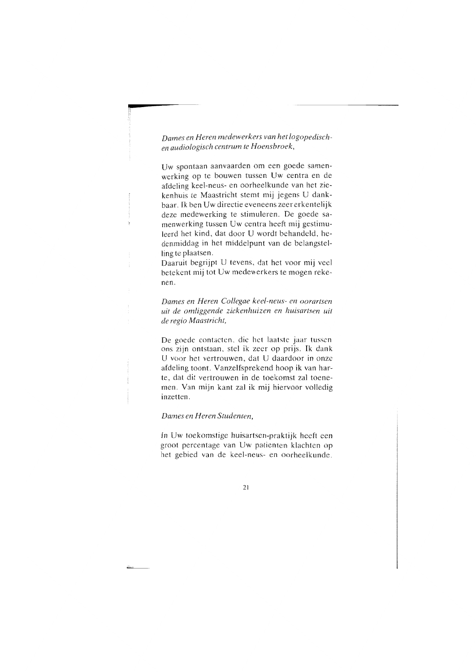Dames en Heren medewerkers van het logopedischen audiologisch centrum te Hoensbroek,

Uw spontaan aanvaarden om een goede samenwerking op te bouwen tussen Uw centra en de afdeling keel-neus- en oorheelkunde van het ziekenhuis te Maastricht stemt mij jegens U dankbaar. Ik ben Uw directie eveneens zeer erkentelijk deze medewerking te stimuleren. De goede samenwerking tussen Uw centra heeft mij gestimuleerd het kind, dat door U wordt behandeld, hedenmiddag in het middelpunt van de belangstelling te plaatsen.

Daaruit begrijpt U tevens, dat het voor mij veel betekent mij tot Uw medewerkers te mogen rekenen.

Dames en Heren Collegae keel-neus- en oorartsen uit de omliggende ziekenhuizen en huisartsen uit de regio Maastricht.

De goede contacten, die het laatste jaar tussen ons zijn ontstaan, stel ik zeer op prijs. Ik dank U voor het vertrouwen, dat U daardoor in onze afdeling toont. Vanzelfsprekend hoop ik van harte, dat dit vertrouwen in de toekomst zal toenemen. Van mijn kant zal ik mij hiervoor volledig inzetten.

#### Dames en Heren Studenten.

In Uw toekomstige huisartsen-praktijk heeft een groot percentage van Uw patienten klachten op het gebied van de keel-neus- en oorheelkunde.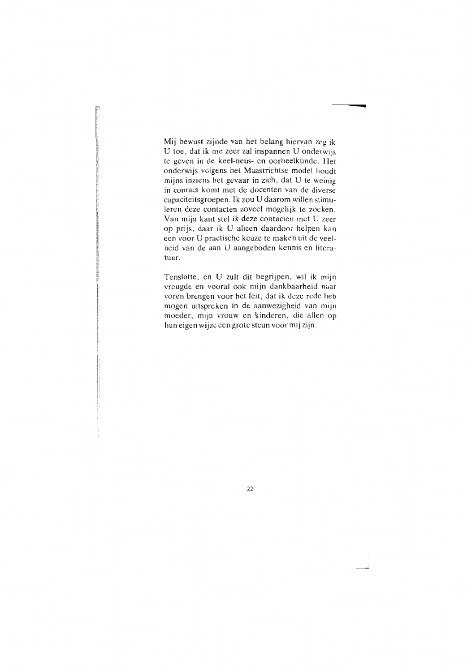Mij bewust zijnde van het belang hiervan zeg ik U toe, dat ik me zeer zal inspannen U onderwijs te geven in de keel-neus- en oorheelkunde. Het onderwijs volgens het Maastrichtse model houdt miins inziens het gevaar in zich, dat U te weinig in contact komt met de docenten van de diverse capaciteitsgroepen. Ik zou U daarom willen stimuleren deze contacten zoveel mogelijk te zoeken. Van mijn kant stel ik deze contacten met U zeer op prijs, daar ik U alleen daardoor helpen kan een voor U practische keuze te maken uit de veelheid van de aan U aangeboden kennis en literatuur.

Tenslotte, en U zult dit begrijpen, wil ik mijn vreugde en vooral ook mijn dankbaarheid naar voren brengen voor het feit, dat ik deze rede heb mogen uitspreken in de aanwezigheid van mijn moeder, mijn vrouw en kinderen, die allen op hun eigen wijze een grote steun voor mij zijn.